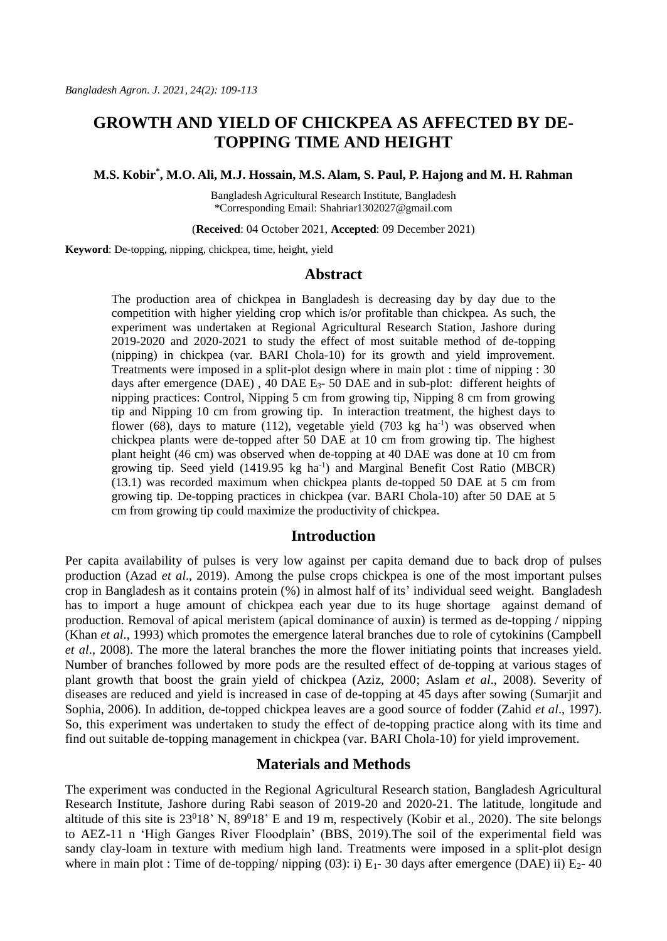# **GROWTH AND YIELD OF CHICKPEA AS AFFECTED BY DE-TOPPING TIME AND HEIGHT**

#### **M.S. Kobir\* , M.O. Ali, M.J. Hossain, M.S. Alam, S. Paul, P. Hajong and M. H. Rahman**

Bangladesh Agricultural Research Institute, Bangladesh \*Corresponding Email[: Shahriar1302027@gmail.com](mailto:Shahriar1302027@gmail.com)

(**Received**: 04 October 2021, **Accepted**: 09 December 2021)

**Keyword**: De-topping, nipping, chickpea, time, height, yield

### **Abstract**

The production area of chickpea in Bangladesh is decreasing day by day due to the competition with higher yielding crop which is/or profitable than chickpea. As such, the experiment was undertaken at Regional Agricultural Research Station, Jashore during 2019-2020 and 2020-2021 to study the effect of most suitable method of de-topping (nipping) in chickpea (var. BARI Chola-10) for its growth and yield improvement. Treatments were imposed in a split-plot design where in main plot : time of nipping : 30 days after emergence (DAE), 40 DAE  $E_3$ - 50 DAE and in sub-plot: different heights of nipping practices: Control, Nipping 5 cm from growing tip, Nipping 8 cm from growing tip and Nipping 10 cm from growing tip. In interaction treatment, the highest days to flower  $(68)$ , days to mature  $(112)$ , vegetable yield  $(703 \text{ kg ha}^{-1})$  was observed when chickpea plants were de-topped after 50 DAE at 10 cm from growing tip. The highest plant height (46 cm) was observed when de-topping at 40 DAE was done at 10 cm from growing tip. Seed yield  $(1419.95 \text{ kg} \text{ ha}^{-1})$  and Marginal Benefit Cost Ratio (MBCR) (13.1) was recorded maximum when chickpea plants de-topped 50 DAE at 5 cm from growing tip. De-topping practices in chickpea (var. BARI Chola-10) after 50 DAE at 5 cm from growing tip could maximize the productivity of chickpea.

### **Introduction**

Per capita availability of pulses is very low against per capita demand due to back drop of pulses production (Azad *et al*., 2019). Among the pulse crops chickpea is one of the most important pulses crop in Bangladesh as it contains protein (%) in almost half of its' individual seed weight. Bangladesh has to import a huge amount of chickpea each year due to its huge shortage against demand of production. Removal of apical meristem (apical dominance of auxin) is termed as de-topping / nipping (Khan *et al*., 1993) which promotes the emergence lateral branches due to role of cytokinins (Campbell *et al*., 2008). The more the lateral branches the more the flower initiating points that increases yield. Number of branches followed by more pods are the resulted effect of de-topping at various stages of plant growth that boost the grain yield of chickpea (Aziz, 2000; Aslam *et al*., 2008). Severity of diseases are reduced and yield is increased in case of de-topping at 45 days after sowing (Sumarjit and Sophia, 2006). In addition, de-topped chickpea leaves are a good source of fodder (Zahid *et al*., 1997). So, this experiment was undertaken to study the effect of de-topping practice along with its time and find out suitable de-topping management in chickpea (var. BARI Chola-10) for yield improvement.

### **Materials and Methods**

The experiment was conducted in the Regional Agricultural Research station, Bangladesh Agricultural Research Institute, Jashore during Rabi season of 2019-20 and 2020-21. The latitude, longitude and altitude of this site is  $23^018'$  N,  $89^018'$  E and 19 m, respectively (Kobir et al., 2020). The site belongs to AEZ-11 n 'High Ganges River Floodplain' (BBS, 2019).The soil of the experimental field was sandy clay-loam in texture with medium high land. Treatments were imposed in a split-plot design where in main plot : Time of de-topping/ nipping  $(03)$ : i)  $E_1$ - 30 days after emergence (DAE) ii)  $E_2$ - 40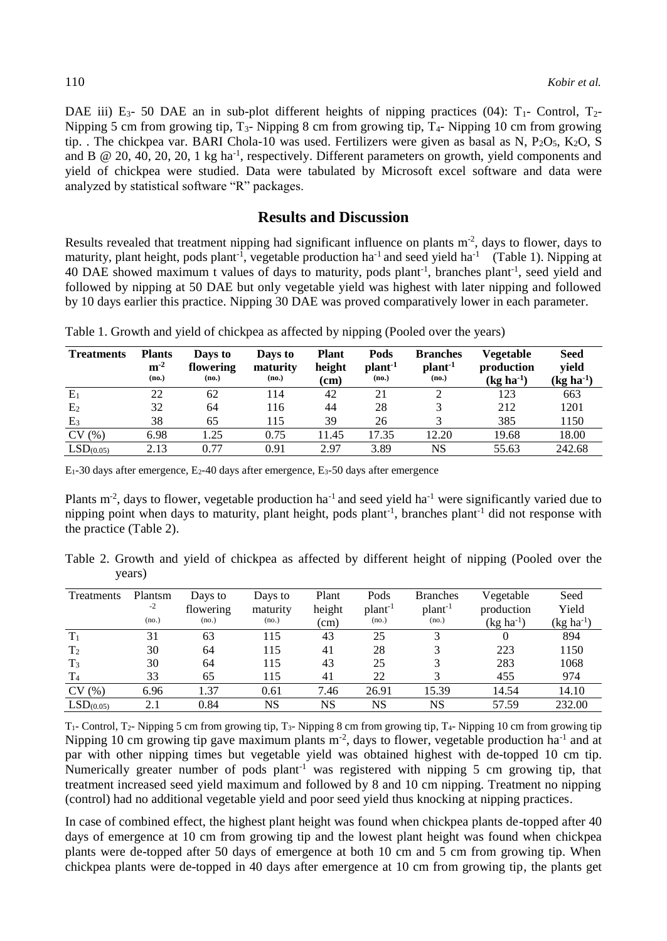DAE iii) E<sub>3</sub>- 50 DAE an in sub-plot different heights of nipping practices (04):  $T_1$ - Control,  $T_2$ -Nipping 5 cm from growing tip,  $T_3$ - Nipping 8 cm from growing tip,  $T_4$ - Nipping 10 cm from growing tip. . The chickpea var. BARI Chola-10 was used. Fertilizers were given as basal as N,  $P_2O_5$ ,  $K_2O$ , S and B  $\odot$  20, 40, 20, 20, 1 kg ha<sup>-1</sup>, respectively. Different parameters on growth, yield components and yield of chickpea were studied. Data were tabulated by Microsoft excel software and data were analyzed by statistical software "R" packages.

## **Results and Discussion**

Results revealed that treatment nipping had significant influence on plants  $m<sup>2</sup>$ , days to flower, days to maturity, plant height, pods plant<sup>-1</sup>, vegetable production ha<sup>-1</sup> and seed yield ha<sup>-1</sup> (Table 1). Nipping at 40 DAE showed maximum t values of days to maturity, pods plant<sup>-1</sup>, branches plant<sup>-1</sup>, seed yield and followed by nipping at 50 DAE but only vegetable yield was highest with later nipping and followed by 10 days earlier this practice. Nipping 30 DAE was proved comparatively lower in each parameter.

| <b>Treatments</b>     | <b>Plants</b><br>$m-2$<br>(no.) | Days to<br>flowering<br>(no.) | Days to<br>maturity<br>(no.) | <b>Plant</b><br>height<br>(cm) | Pods<br>plant <sup>-1</sup><br>(no.) | <b>Branches</b><br>plan <sup>1</sup><br>(no.) | Vegetable<br>production<br>$(kg ha^{-1})$ | Seed<br>vield<br>$(kg ha^{-1})$ |
|-----------------------|---------------------------------|-------------------------------|------------------------------|--------------------------------|--------------------------------------|-----------------------------------------------|-------------------------------------------|---------------------------------|
| $E_1$                 | 22                              | 62                            | 114                          | 42                             | 21                                   |                                               | 123                                       | 663                             |
| E <sub>2</sub>        | 32                              | 64                            | 116                          | 44                             | 28                                   |                                               | 212                                       | 1201                            |
| E <sub>3</sub>        | 38                              | 65                            | 115                          | 39                             | 26                                   |                                               | 385                                       | 1150                            |
| CV(%)                 | 6.98                            | .25                           | 0.75                         | 1.45                           | 17.35                                | 12.20                                         | 19.68                                     | 18.00                           |
| LSD <sub>(0.05)</sub> | 2.13                            | 0.77                          | 0.91                         | 2.97                           | 3.89                                 | NS                                            | 55.63                                     | 242.68                          |

Table 1. Growth and yield of chickpea as affected by nipping (Pooled over the years)

 $E_1$ -30 days after emergence,  $E_2$ -40 days after emergence,  $E_3$ -50 days after emergence

Plants  $m<sup>2</sup>$ , days to flower, vegetable production ha<sup>-1</sup> and seed yield ha<sup>-1</sup> were significantly varied due to nipping point when days to maturity, plant height, pods plant<sup>-1</sup>, branches plant<sup>-1</sup> did not response with the practice (Table 2).

Table 2. Growth and yield of chickpea as affected by different height of nipping (Pooled over the years)

| Treatments            | Plantsm<br>$-2$ | Days to<br>flowering | Days to<br>maturity | Plant<br>height | Pods<br>plant <sup>-1</sup> | <b>Branches</b><br>plant <sup>-1</sup> | Vegetable<br>production | Seed<br>Yield  |
|-----------------------|-----------------|----------------------|---------------------|-----------------|-----------------------------|----------------------------------------|-------------------------|----------------|
|                       | (no.)           | (no.)                | (no.)               | (cm)            | (no.)                       | (no.)                                  | $(kg ha^{-1})$          | $(kg ha^{-1})$ |
| $T_1$                 | 31              | 63                   | 115                 | 43              | 25                          |                                        |                         | 894            |
| T <sub>2</sub>        | 30              | 64                   | 115                 | 41              | 28                          |                                        | 223                     | 1150           |
| $T_3$                 | 30              | 64                   | 115                 | 43              | 25                          |                                        | 283                     | 1068           |
| T <sub>4</sub>        | 33              | 65                   | 115                 | 41              | 22                          |                                        | 455                     | 974            |
| CV(%)                 | 6.96            | 1.37                 | 0.61                | 7.46            | 26.91                       | 15.39                                  | 14.54                   | 14.10          |
| LSD <sub>(0.05)</sub> | 2.1             | 0.84                 | NS                  | NS              | NS                          | NS                                     | 57.59                   | 232.00         |

 $T_1$ - Control, T<sub>2</sub>- Nipping 5 cm from growing tip, T<sub>3</sub>- Nipping 8 cm from growing tip, T<sub>4</sub>- Nipping 10 cm from growing tip Nipping 10 cm growing tip gave maximum plants  $m<sup>2</sup>$ , days to flower, vegetable production ha<sup>-1</sup> and at par with other nipping times but vegetable yield was obtained highest with de-topped 10 cm tip. Numerically greater number of pods plant<sup>-1</sup> was registered with nipping 5 cm growing tip, that treatment increased seed yield maximum and followed by 8 and 10 cm nipping. Treatment no nipping (control) had no additional vegetable yield and poor seed yield thus knocking at nipping practices.

In case of combined effect, the highest plant height was found when chickpea plants de-topped after 40 days of emergence at 10 cm from growing tip and the lowest plant height was found when chickpea plants were de-topped after 50 days of emergence at both 10 cm and 5 cm from growing tip. When chickpea plants were de-topped in 40 days after emergence at 10 cm from growing tip, the plants get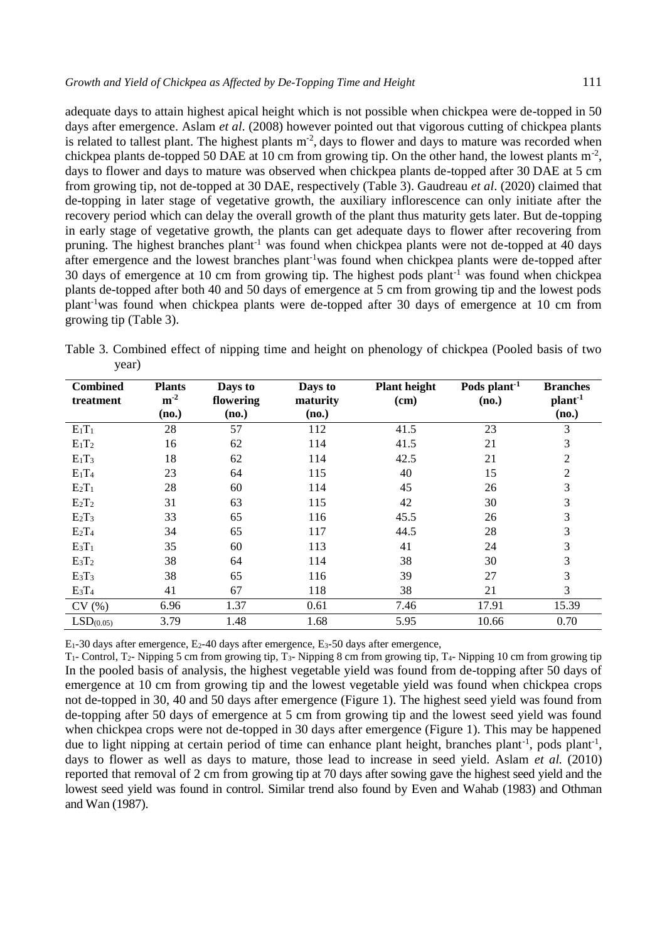adequate days to attain highest apical height which is not possible when chickpea were de-topped in 50 days after emergence. Aslam *et al*. (2008) however pointed out that vigorous cutting of chickpea plants is related to tallest plant. The highest plants  $m<sup>2</sup>$ , days to flower and days to mature was recorded when chickpea plants de-topped 50 DAE at 10 cm from growing tip. On the other hand, the lowest plants  $m<sup>-2</sup>$ , days to flower and days to mature was observed when chickpea plants de-topped after 30 DAE at 5 cm from growing tip, not de-topped at 30 DAE, respectively (Table 3). Gaudreau *et al*. (2020) claimed that de-topping in later stage of vegetative growth, the auxiliary inflorescence can only initiate after the recovery period which can delay the overall growth of the plant thus maturity gets later. But de-topping in early stage of vegetative growth, the plants can get adequate days to flower after recovering from pruning. The highest branches plant<sup>-1</sup> was found when chickpea plants were not de-topped at 40 days after emergence and the lowest branches plant-1was found when chickpea plants were de-topped after 30 days of emergence at 10 cm from growing tip. The highest pods plant<sup>-1</sup> was found when chickpea plants de-topped after both 40 and 50 days of emergence at 5 cm from growing tip and the lowest pods plant-1was found when chickpea plants were de-topped after 30 days of emergence at 10 cm from growing tip (Table 3).

Table 3. Combined effect of nipping time and height on phenology of chickpea (Pooled basis of two year)

| <b>Combined</b>       | <b>Plants</b>     | Days to            | <b>Plant height</b><br>Days to |      | Pods plant <sup>-1</sup> | <b>Branches</b>              |
|-----------------------|-------------------|--------------------|--------------------------------|------|--------------------------|------------------------------|
| treatment             | $m^{-2}$<br>(no.) | flowering<br>(no.) | maturity<br>(no.)              | (cm) | (no.)                    | plant <sup>-1</sup><br>(no.) |
|                       |                   |                    |                                |      |                          |                              |
| $E_1T_1$              | 28                | 57                 | 112                            | 41.5 | 23                       | 3                            |
| $E_1T_2$              | 16                | 62                 | 114                            | 41.5 | 21                       | 3                            |
| $E_1T_3$              | 18                | 62                 | 114                            | 42.5 | 21                       | $\overline{c}$               |
| $E_1T_4$              | 23                | 64                 | 115                            | 40   | 15                       | $\overline{2}$               |
| $E_2T_1$              | 28                | 60                 | 114                            | 45   | 26                       | 3                            |
| $E_2T_2$              | 31                | 63                 | 115                            | 42   | 30                       | 3                            |
| $E_2T_3$              | 33                | 65                 | 116                            | 45.5 | 26                       | 3                            |
| $E_2T_4$              | 34                | 65                 | 117                            | 44.5 | 28                       | 3                            |
| $E_3T_1$              | 35                | 60                 | 113                            | 41   | 24                       | 3                            |
| $E_3T_2$              | 38                | 64                 | 114                            | 38   | 30                       | 3                            |
| $E_3T_3$              | 38                | 65                 | 116                            | 39   | 27                       | 3                            |
| $E_3T_4$              | 41                | 67                 | 118                            | 38   | 21                       | 3                            |
| CV(%)                 | 6.96              | 1.37               | 0.61                           | 7.46 | 17.91                    | 15.39                        |
| LSD <sub>(0.05)</sub> | 3.79              | 1.48               | 1.68                           | 5.95 | 10.66                    | 0.70                         |

E1-30 days after emergence, E2-40 days after emergence, E3-50 days after emergence,

T1- Control, T2- Nipping 5 cm from growing tip, T3- Nipping 8 cm from growing tip, T4- Nipping 10 cm from growing tip In the pooled basis of analysis, the highest vegetable yield was found from de-topping after 50 days of emergence at 10 cm from growing tip and the lowest vegetable yield was found when chickpea crops not de-topped in 30, 40 and 50 days after emergence (Figure 1). The highest seed yield was found from de-topping after 50 days of emergence at 5 cm from growing tip and the lowest seed yield was found when chickpea crops were not de-topped in 30 days after emergence (Figure 1). This may be happened due to light nipping at certain period of time can enhance plant height, branches plant<sup>-1</sup>, pods plant<sup>-1</sup>, days to flower as well as days to mature, those lead to increase in seed yield. Aslam *et al.* (2010) reported that removal of 2 cm from growing tip at 70 days after sowing gave the highest seed yield and the lowest seed yield was found in control. Similar trend also found by Even and Wahab (1983) and Othman and Wan (1987).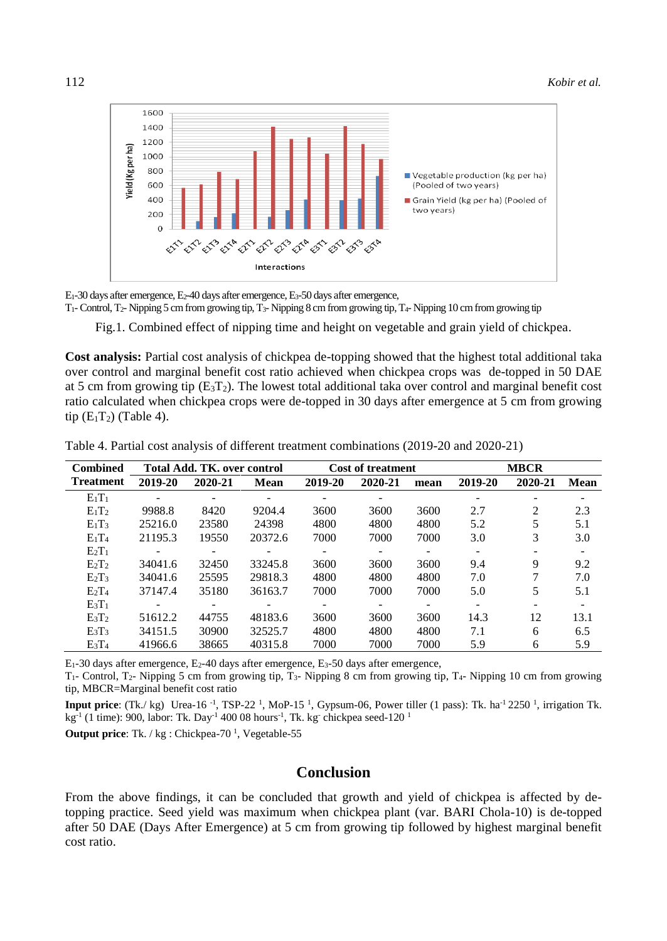

E1-30 days after emergence, E2-40 days after emergence, E3-50 days after emergence,

T1-Control, T2- Nipping 5 cm from growing tip, T3- Nipping 8 cm from growing tip, T4- Nipping 10 cm from growing tip

Fig.1. Combined effect of nipping time and height on vegetable and grain yield of chickpea.

**Cost analysis:** Partial cost analysis of chickpea de-topping showed that the highest total additional taka over control and marginal benefit cost ratio achieved when chickpea crops was de-topped in 50 DAE at 5 cm from growing tip  $(E_3T_2)$ . The lowest total additional taka over control and marginal benefit cost ratio calculated when chickpea crops were de-topped in 30 days after emergence at 5 cm from growing tip  $(E_1T_2)$  (Table 4).

| <b>Combined</b>  | Total Add. TK, over control |         |             | <b>Cost of treatment</b> |         |      | <b>MBCR</b> |         |             |
|------------------|-----------------------------|---------|-------------|--------------------------|---------|------|-------------|---------|-------------|
| <b>Treatment</b> | 2019-20                     | 2020-21 | <b>Mean</b> | 2019-20                  | 2020-21 | mean | 2019-20     | 2020-21 | <b>Mean</b> |
| $E_1T_1$         |                             |         |             |                          |         |      |             |         |             |
| $E_1T_2$         | 9988.8                      | 8420    | 9204.4      | 3600                     | 3600    | 3600 | 2.7         | 2       | 2.3         |
| $E_1T_3$         | 25216.0                     | 23580   | 24398       | 4800                     | 4800    | 4800 | 5.2         | 5       | 5.1         |
| $E_1T_4$         | 21195.3                     | 19550   | 20372.6     | 7000                     | 7000    | 7000 | 3.0         | 3       | 3.0         |
| $E_2T_1$         |                             |         |             |                          |         |      |             |         |             |
| $E_2T_2$         | 34041.6                     | 32450   | 33245.8     | 3600                     | 3600    | 3600 | 9.4         | 9       | 9.2         |
| $E_2T_3$         | 34041.6                     | 25595   | 29818.3     | 4800                     | 4800    | 4800 | 7.0         |         | 7.0         |
| $E_2T_4$         | 37147.4                     | 35180   | 36163.7     | 7000                     | 7000    | 7000 | 5.0         | 5       | 5.1         |
| $E_3T_1$         |                             |         |             |                          |         |      |             |         |             |
| $E_3T_2$         | 51612.2                     | 44755   | 48183.6     | 3600                     | 3600    | 3600 | 14.3        | 12      | 13.1        |
| $E_3T_3$         | 34151.5                     | 30900   | 32525.7     | 4800                     | 4800    | 4800 | 7.1         | 6       | 6.5         |
| $E_3T_4$         | 41966.6                     | 38665   | 40315.8     | 7000                     | 7000    | 7000 | 5.9         | 6       | 5.9         |

Table 4. Partial cost analysis of different treatment combinations (2019-20 and 2020-21)

 $E_1$ -30 days after emergence,  $E_2$ -40 days after emergence,  $E_3$ -50 days after emergence,

T1- Control, T2- Nipping 5 cm from growing tip, T3- Nipping 8 cm from growing tip, T4- Nipping 10 cm from growing tip, MBCR=Marginal benefit cost ratio

**Input price**:  $(Tk / kg)$  Urea-16<sup>-1</sup>, TSP-22<sup>-1</sup>, MoP-15<sup>-1</sup>, Gypsum-06, Power tiller (1 pass): Tk. ha<sup>-1</sup> 2250<sup>-1</sup>, irrigation Tk.  $kg^{-1}$  (1 time): 900, labor: Tk. Day<sup>-1</sup> 400 08 hours<sup>-1</sup>, Tk. kg chickpea seed-120 <sup>1</sup>

**Output price:** Tk. / kg : Chickpea-70<sup>1</sup>, Vegetable-55

### **Conclusion**

From the above findings, it can be concluded that growth and yield of chickpea is affected by detopping practice. Seed yield was maximum when chickpea plant (var. BARI Chola-10) is de-topped after 50 DAE (Days After Emergence) at 5 cm from growing tip followed by highest marginal benefit cost ratio.